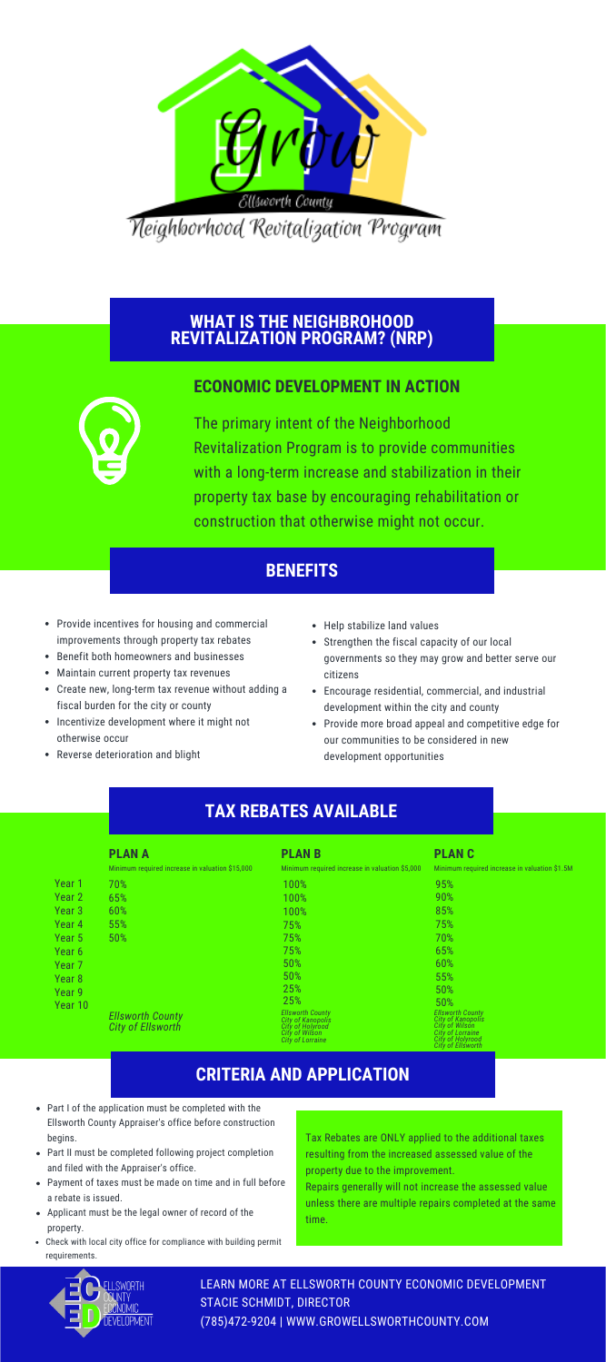

<u> Neighborhood Revitalization Program</u>

# **WHAT IS THE NEIGHBROHOOD REVITALIZATION PROGRAM? (NRP)**

#### **ECONOMIC DEVELOPMENT IN ACTION**



The primary intent of the Neighborhood Revitalization Program is to provide communities with a long-term increase and stabilization in their property tax base by encouraging rehabilitation or construction that otherwise might not occur.

## **BENEFITS**

- Provide incentives for housing and commercial improvements through property tax rebates
- Benefit both homeowners and businesses
- Maintain current property tax revenues
- Create new, long-term tax revenue without adding a fiscal burden for the city or county
- Incentivize development where it might not otherwise occur
- Reverse deterioration and blight
- Help stabilize land values
- Strengthen the fiscal capacity of our local governments so they may grow and better serve our citizens
- Encourage residential, commercial, and industrial development within the city and county
- Provide more broad appeal and competitive edge for our communities to be considered in new development opportunities

## **TAX REBATES AVAILABLE**

|                   | <b>PLAN A</b>                                       | <b>PLANB</b>                                                                                           | <b>PLANC</b>                                                                                                                       |
|-------------------|-----------------------------------------------------|--------------------------------------------------------------------------------------------------------|------------------------------------------------------------------------------------------------------------------------------------|
|                   | Minimum required increase in valuation \$15,000     | Minimum required increase in valuation \$5,000                                                         | Minimum required increase in valuation \$1.5M                                                                                      |
| Year <sub>1</sub> | 70%                                                 | 100%                                                                                                   | 95%                                                                                                                                |
| Year <sub>2</sub> | 65%                                                 | 100%                                                                                                   | 90%                                                                                                                                |
| Year <sub>3</sub> | 60%                                                 | 100%                                                                                                   | 85%                                                                                                                                |
| Year 4            | 55%                                                 | 75%                                                                                                    | 75%                                                                                                                                |
| Year 5            | 50%                                                 | 75%                                                                                                    | 70%                                                                                                                                |
| Year 6            |                                                     | 75%                                                                                                    | 65%                                                                                                                                |
| Year <sub>7</sub> |                                                     | 50%                                                                                                    | 60%                                                                                                                                |
| Year <sub>8</sub> |                                                     | 50%                                                                                                    | 55%                                                                                                                                |
| Year <sub>9</sub> |                                                     | 25%                                                                                                    | 50%                                                                                                                                |
| Year 10           |                                                     | 25%                                                                                                    | 50%                                                                                                                                |
|                   | <b>Ellsworth County</b><br><b>City of Ellsworth</b> | Ellsworth County<br>City of Kanopolis<br>City of Holyrood<br><b>City of Wilson</b><br>City of Lorraine | <b>Ellsworth County</b><br>City of Kanopolis<br><b>City of Wilson</b><br>City of Lorraine<br>City of Holyrood<br>City of Ellsworth |

## **CRITERIA AND APPLICATION**

- Part I of the application must be completed with the Ellsworth County Appraiser's office before construction begins.
- Part II must be completed following project completion and filed with the Appraiser's office.
- Payment of taxes must be made on time and in full before a rebate is issued.
- Applicant must be the legal owner of record of the property.
- Check with local city office for compliance with building permit requirem

Tax Rebates are ONLY applied to the additional taxes resulting from the increased assessed value of the property due to the improvement.

Repairs generally will not increase the assessed value unless there are multiple repairs completed at the same time.



LEARN MORE AT ELLSWORTH COUNTY ECONOMIC DEVELOPMENT STACIE SCHMIDT, DIRECTOR (785)472-9204 | WWW.GROWELLSWORTHCOUNTY.COM